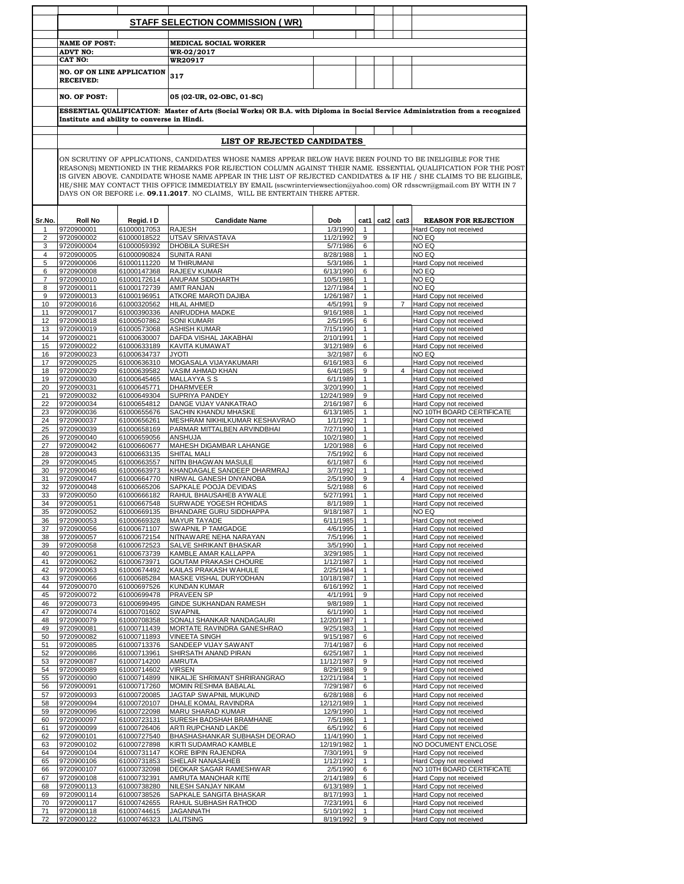|                |                                                       |                            | STAFF SELECTION COMMISSION ( WR)                                                                                                                                                                                              |                         |                              |                |                                                  |
|----------------|-------------------------------------------------------|----------------------------|-------------------------------------------------------------------------------------------------------------------------------------------------------------------------------------------------------------------------------|-------------------------|------------------------------|----------------|--------------------------------------------------|
|                |                                                       |                            |                                                                                                                                                                                                                               |                         |                              |                |                                                  |
|                | <b>NAME OF POST:</b>                                  |                            | <b>MEDICAL SOCIAL WORKER</b>                                                                                                                                                                                                  |                         |                              |                |                                                  |
|                | <b>ADVT NO:</b><br>CAT NO:                            |                            | WR-02/2017<br><b>WR20917</b>                                                                                                                                                                                                  |                         |                              |                |                                                  |
|                |                                                       |                            |                                                                                                                                                                                                                               |                         |                              |                |                                                  |
|                | <b>NO. OF ON LINE APPLICATION</b><br><b>RECEIVED:</b> |                            | 317                                                                                                                                                                                                                           |                         |                              |                |                                                  |
|                | <b>NO. OF POST:</b>                                   |                            | 05 (02-UR, 02-OBC, 01-SC)                                                                                                                                                                                                     |                         |                              |                |                                                  |
|                | Institute and ability to converse in Hindi.           |                            | ESSENTIAL QUALIFICATION: Master of Arts (Social Works) OR B.A. with Diploma in Social Service Administration from a recognized                                                                                                |                         |                              |                |                                                  |
|                |                                                       |                            |                                                                                                                                                                                                                               |                         |                              |                |                                                  |
|                |                                                       |                            | LIST OF REJECTED CANDIDATES                                                                                                                                                                                                   |                         |                              |                |                                                  |
|                |                                                       |                            |                                                                                                                                                                                                                               |                         |                              |                |                                                  |
|                |                                                       |                            | ON SCRUTINY OF APPLICATIONS, CANDIDATES WHOSE NAMES APPEAR BELOW HAVE BEEN FOUND TO BE INELIGIBLE FOR THE<br>REASON(S) MENTIONED IN THE REMARKS FOR REJECTION COLUMN AGAINST THEIR NAME. ESSENTIAL QUALIFICATION FOR THE POST |                         |                              |                |                                                  |
|                |                                                       |                            | IS GIVEN ABOVE. CANDIDATE WHOSE NAME APPEAR IN THE LIST OF REJECTED CANDIDATES & IF HE / SHE CLAIMS TO BE ELIGIBLE,                                                                                                           |                         |                              |                |                                                  |
|                |                                                       |                            | HE/SHE MAY CONTACT THIS OFFICE IMMEDIATELY BY EMAIL (sscwrinterviewsection@yahoo.com) OR rdsscwr@gmail.com BY WITH IN 7                                                                                                       |                         |                              |                |                                                  |
|                |                                                       |                            | DAYS ON OR BEFORE i.e. 09.11.2017. NO CLAIMS, WILL BE ENTERTAIN THERE AFTER.                                                                                                                                                  |                         |                              |                |                                                  |
|                |                                                       |                            |                                                                                                                                                                                                                               |                         |                              |                |                                                  |
| Sr.No.         | <b>Roll No</b>                                        | Regid. I D                 | <b>Candidate Name</b>                                                                                                                                                                                                         | Dob                     | cat1                         | cat2 cat3      | <b>REASON FOR REJECTION</b>                      |
| $\overline{2}$ | 9720900001<br>9720900002                              | 61000017053<br>61000018522 | <b>RAJESH</b><br>UTSAV SRIVASTAVA                                                                                                                                                                                             | 1/3/1990<br>11/2/1992   | $\mathbf{1}$<br>9            |                | Hard Copy not received<br>NO EQ                  |
| 3              | 9720900004                                            | 61000059392                | <b>DHOBILA SURESH</b>                                                                                                                                                                                                         | 5/7/1986                | 6                            |                | NO EQ                                            |
| $\overline{4}$ | 9720900005                                            | 61000090824                | <b>SUNITA RANI</b>                                                                                                                                                                                                            | 8/28/1988               | $\mathbf{1}$                 |                | NO EQ                                            |
| 5              | 9720900006                                            | 61000111220                | <b>M THIRUMANI</b>                                                                                                                                                                                                            | 5/3/1986                | $\mathbf{1}$                 |                | Hard Copy not received                           |
| 6<br>7         | 9720900008<br>9720900010                              | 61000147368<br>61000172614 | <b>RAJEEV KUMAR</b><br><b>ANUPAM SIDDHARTH</b>                                                                                                                                                                                | 6/13/1990<br>10/5/1986  | 6<br>$\mathbf{1}$            |                | NO EQ<br>NO EQ                                   |
| 8              | 9720900011                                            | 61000172739                | <b>AMIT RANJAN</b>                                                                                                                                                                                                            | 12/7/1984               | $\mathbf{1}$                 |                | NO EQ                                            |
| 9              | 9720900013                                            | 61000196951                | ATKORE MAROTI DAJIBA                                                                                                                                                                                                          | 1/26/1987               | $\mathbf{1}$                 |                | Hard Copy not received                           |
| 10<br>11       | 9720900016<br>9720900017                              | 61000320562<br>61000390336 | <b>HILAL AHMED</b><br>ANIRUDDHA MADKE                                                                                                                                                                                         | 4/5/1991<br>9/16/1988   | 9<br>$\mathbf{1}$            | $7^{\circ}$    | Hard Copy not received<br>Hard Copy not received |
| 12             | 9720900018                                            | 61000507862                | <b>SONI KUMARI</b>                                                                                                                                                                                                            | 2/5/1995                | 6                            |                | Hard Copy not received                           |
| 13             | 9720900019                                            | 61000573068                | <b>ASHISH KUMAR</b>                                                                                                                                                                                                           | 7/15/1990               | $\mathbf{1}$                 |                | Hard Copy not received                           |
| 14             | 9720900021                                            | 61000630007                | DAFDA VISHAL JAKABHAI                                                                                                                                                                                                         | 2/10/1991               | $\mathbf{1}$                 |                | Hard Copy not received                           |
| 15<br>16       | 9720900022<br>9720900023                              | 61000633189<br>61000634737 | KAVITA KUMAWAT<br><b>JYOTI</b>                                                                                                                                                                                                | 3/12/1989<br>3/2/1987   | 6<br>6                       |                | Hard Copy not received<br>NO EQ                  |
| 17             | 9720900025                                            | 61000636310                | MOGASALA VIJAYAKUMARI                                                                                                                                                                                                         | 6/16/1983               | 6                            |                | Hard Copy not received                           |
| 18             | 9720900029                                            | 61000639582                | <b>VASIM AHMAD KHAN</b>                                                                                                                                                                                                       | 6/4/1985                | 9                            | $\overline{4}$ | Hard Copy not received                           |
| 19<br>20       | 9720900030<br>9720900031                              | 61000645465<br>61000645771 | <b>MALLAYYA S S</b><br><b>DHARMVEER</b>                                                                                                                                                                                       | 6/1/1989<br>3/20/1990   | $\mathbf{1}$<br>$\mathbf{1}$ |                | Hard Copy not received<br>Hard Copy not received |
| 21             | 9720900032                                            | 61000649304                | SUPRIYA PANDEY                                                                                                                                                                                                                | 12/24/1989              | 9                            |                | Hard Copy not received                           |
| 22             | 9720900034                                            | 61000654812                | DANGE VIJAY VANKATRAO                                                                                                                                                                                                         | 2/16/1987               | 6                            |                | Hard Copy not received                           |
| 23             | 9720900036                                            | 61000655676                | <b>SACHIN KHANDU MHASKE</b>                                                                                                                                                                                                   | 6/13/1985               | $\mathbf{1}$<br>$\mathbf{1}$ |                | NO 10TH BOARD CERTIFICATE                        |
| 24<br>25       | 9720900037<br>9720900039                              | 61000656261<br>61000658169 | MESHRAM NIKHILKUMAR KESHAVRAO<br>PARMAR MITTALBEN ARVINDBHAI                                                                                                                                                                  | 1/1/1992<br>7/27/1990   | $\mathbf{1}$                 |                | Hard Copy not received<br>Hard Copy not received |
| 26             | 9720900040                                            | 61000659056                | <b>ANSHUJA</b>                                                                                                                                                                                                                | 10/2/1980               | $\mathbf{1}$                 |                | Hard Copy not received                           |
| 27             | 9720900042                                            | 61000660677                | MAHESH DIGAMBAR LAHANGE                                                                                                                                                                                                       | 1/20/1988               | 6                            |                | Hard Copy not received                           |
| 28<br>29       | 9720900043<br>9720900045                              | 61000663135<br>61000663557 | <b>SHITAL MALI</b><br>NITIN BHAGWAN MASULE                                                                                                                                                                                    | 7/5/1992<br>6/1/1987    | 6<br>6                       |                | Hard Copy not received<br>Hard Copy not received |
| 30             | 9720900046                                            | 61000663973                | KHANDAGALE SANDEEP DHARMRAJ                                                                                                                                                                                                   | 3/7/1992                | $\mathbf{1}$                 |                | Hard Copy not received                           |
| 31             | 9720900047                                            | 61000664770                | NIRWAL GANESH DNYANOBA                                                                                                                                                                                                        | 2/5/1990                | 9                            | $\overline{4}$ | Hard Copy not received                           |
| 32<br>33       | 9720900048<br>9720900050                              | 61000665206<br>61000666182 | SAPKALE POOJA DEVIDAS<br>RAHUL BHAUSAHEB AYWALE                                                                                                                                                                               | 5/2/1988<br>5/27/1991   | 6<br>$\mathbf{1}$            |                | Hard Copy not received<br>Hard Copy not received |
| 34             | 9720900051                                            | 61000667548                | SURWADE YOGESH ROHIDAS                                                                                                                                                                                                        | 8/1/1989                | $\mathbf{1}$                 |                | Hard Copy not received                           |
| 35             | 9720900052                                            | 61000669135                | <b>BHANDARE GURU SIDDHAPPA</b>                                                                                                                                                                                                | 9/18/1987               | $\mathbf{1}$                 |                | NO EQ                                            |
| 36<br>37       | 9720900053<br>9720900056                              | 61000669328<br>61000671107 | <b>MAYUR TAYADE</b><br>SWAPNIL P TAMGADGE                                                                                                                                                                                     | 6/11/1985<br>4/6/1995   | $\mathbf{1}$<br>$\mathbf{1}$ |                | Hard Copy not received<br>Hard Copy not received |
| 38             | 9720900057                                            | 61000672154                | NITNAWARE NEHA NARAYAN                                                                                                                                                                                                        | 7/5/1996                | $\mathbf{1}$                 |                | Hard Copy not received                           |
| 39             | 9720900058                                            | 61000672523                | SALVE SHRIKANT BHASKAR                                                                                                                                                                                                        | 3/5/1990                | $\mathbf{1}$                 |                | Hard Copy not received                           |
| 40             | 9720900061                                            | 61000673739                | KAMBLE AMAR KALLAPPA                                                                                                                                                                                                          | 3/29/1985               | $\mathbf{1}$                 |                | Hard Copy not received                           |
| 41<br>42       | 9720900062<br>9720900063                              | 61000673971<br>61000674492 | <b>GOUTAM PRAKASH CHOURE</b><br>KAILAS PRAKASH WAHULE                                                                                                                                                                         | 1/12/1987<br>2/25/1984  | $\mathbf{1}$<br>$\mathbf{1}$ |                | Hard Copy not received<br>Hard Copy not received |
| 43             | 9720900066                                            | 61000685284                | MASKE VISHAL DURYODHAN                                                                                                                                                                                                        | 10/18/1987              | $\mathbf{1}$                 |                | Hard Copy not received                           |
| 44             | 9720900070                                            | 61000697526                | <b>KUNDAN KUMAR</b>                                                                                                                                                                                                           | 6/16/1992               | $\mathbf{1}$                 |                | Hard Copy not received                           |
| 45<br>46       | 9720900072<br>9720900073                              | 61000699478<br>61000699495 | PRAVEEN SP<br>GINDE SUKHANDAN RAMESH                                                                                                                                                                                          | 4/1/1991<br>9/8/1989    | 9<br>$\mathbf{1}$            |                | Hard Copy not received<br>Hard Copy not received |
| 47             | 9720900074                                            | 61000701602                | <b>SWAPNIL</b>                                                                                                                                                                                                                | 6/1/1990                | $\mathbf{1}$                 |                | Hard Copy not received                           |
| 48             | 9720900079                                            | 61000708358                | SONALI SHANKAR NANDAGAURI                                                                                                                                                                                                     | 12/20/1987              | $\mathbf{1}$                 |                | Hard Copy not received                           |
| 49<br>50       | 9720900081<br>9720900082                              | 61000711439<br>61000711893 | MORTATE RAVINDRA GANESHRAO<br><b>VINEETA SINGH</b>                                                                                                                                                                            | 9/25/1983<br>9/15/1987  | $\mathbf{1}$<br>6            |                | Hard Copy not received<br>Hard Copy not received |
| 51             | 9720900085                                            | 61000713376                | SANDEEP VIJAY SAWANT                                                                                                                                                                                                          | 7/14/1987               | 6                            |                | Hard Copy not received                           |
| 52             | 9720900086                                            | 61000713961                | SHIRSATH ANAND PIRAN                                                                                                                                                                                                          | 6/25/1987               | $\mathbf{1}$                 |                | Hard Copy not received                           |
| 53             | 9720900087<br>9720900089                              | 61000714200                | AMRUTA<br><b>VIRSEN</b>                                                                                                                                                                                                       | 11/12/1987              | 9<br>9                       |                | Hard Copy not received                           |
| 54<br>55       | 9720900090                                            | 61000714602<br>61000714899 | NIKALJE SHRIMANT SHRIRANGRAO                                                                                                                                                                                                  | 8/29/1988<br>12/21/1984 | $\mathbf{1}$                 |                | Hard Copy not received<br>Hard Copy not received |
| 56             | 9720900091                                            | 61000717260                | MOMIN RESHMA BABALAL                                                                                                                                                                                                          | 7/29/1987               | 6                            |                | Hard Copy not received                           |
| 57             | 9720900093                                            | 61000720085                | JAGTAP SWAPNIL MUKUND                                                                                                                                                                                                         | 6/28/1988               | 6                            |                | Hard Copy not received                           |
| 58<br>59       | 9720900094<br>9720900096                              | 61000720107<br>61000722098 | DHALE KOMAL RAVINDRA<br>MARU SHARAD KUMAR                                                                                                                                                                                     | 12/12/1989<br>12/9/1990 | $\mathbf{1}$<br>$\mathbf{1}$ |                | Hard Copy not received<br>Hard Copy not received |
| 60             | 9720900097                                            | 61000723131                | SURESH BADSHAH BRAMHANE                                                                                                                                                                                                       | 7/5/1986                | $\mathbf{1}$                 |                | Hard Copy not received                           |
| 61             | 9720900099                                            | 61000726406                | ARTI RUPCHAND LAKDE                                                                                                                                                                                                           | 6/5/1992                | 6                            |                | Hard Copy not received                           |
| 62             | 9720900101                                            | 61000727540                | BHASHASHANKAR SUBHASH DEORAO                                                                                                                                                                                                  | 11/4/1990               | $\mathbf{1}$<br>$\mathbf{1}$ |                | Hard Copy not received                           |
| 63<br>64       | 9720900102<br>9720900104                              | 61000727898<br>61000731147 | KIRTI SUDAMRAO KAMBLE<br>KORE BIPIN RAJENDRA                                                                                                                                                                                  | 12/19/1982<br>7/30/1991 | 9                            |                | NO DOCUMENT ENCLOSE<br>Hard Copy not received    |
| 65             | 9720900106                                            | 61000731853                | SHELAR NANASAHEB                                                                                                                                                                                                              | 1/12/1992               | $\mathbf{1}$                 |                | Hard Copy not received                           |
| 66             | 9720900107                                            | 61000732098                | DEOKAR SAGAR RAMESHWAR                                                                                                                                                                                                        | 2/5/1990                | 6                            |                | NO 10TH BOARD CERTIFICATE                        |
| 67<br>68       | 9720900108<br>9720900113                              | 61000732391<br>61000738280 | AMRUTA MANOHAR KITE<br>NILESH SANJAY NIKAM                                                                                                                                                                                    | 2/14/1989<br>6/13/1989  | 6<br>$\mathbf{1}$            |                | Hard Copy not received<br>Hard Copy not received |
| 69             | 9720900114                                            | 61000738526                | SAPKALE SANGITA BHASKAR                                                                                                                                                                                                       | 8/17/1993               | $\mathbf{1}$                 |                | Hard Copy not received                           |
| 70             | 9720900117                                            | 61000742655                | RAHUL SUBHASH RATHOD                                                                                                                                                                                                          | 7/23/1991               | 6                            |                | Hard Copy not received                           |
| 71<br>72       | 9720900118<br>9720900122                              | 61000744615<br>61000746323 | JAGANNATH<br><b>LALITSING</b>                                                                                                                                                                                                 | 5/10/1992<br>8/19/1992  | $\mathbf{1}$<br>9            |                | Hard Copy not received<br>Hard Copy not received |
|                |                                                       |                            |                                                                                                                                                                                                                               |                         |                              |                |                                                  |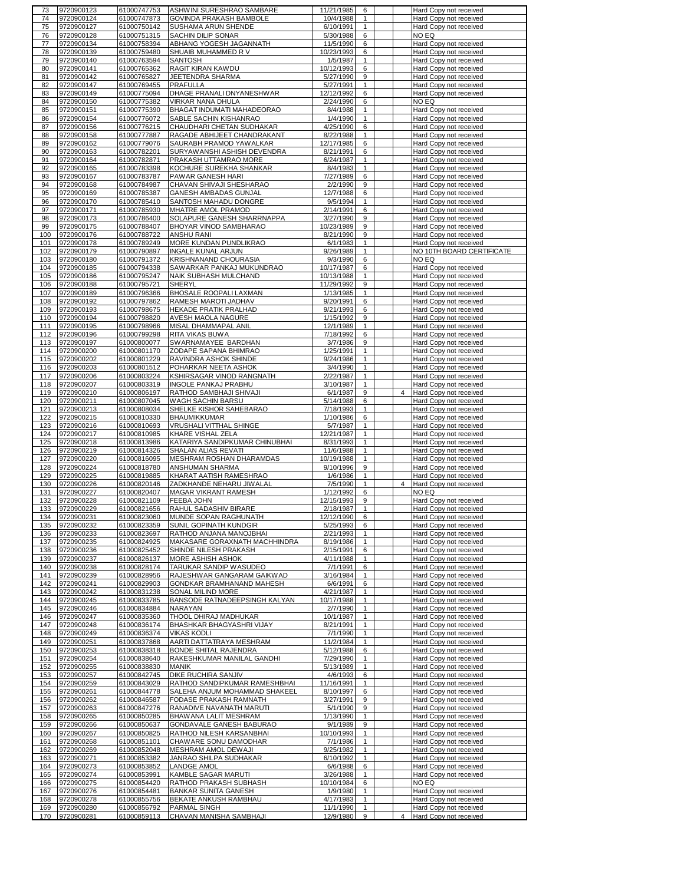| 73         | 9720900123               | 61000747753                | ASHWINI SURESHRAO SAMBARE                       | 11/21/1985              | 6                 | Hard Copy not received                                |
|------------|--------------------------|----------------------------|-------------------------------------------------|-------------------------|-------------------|-------------------------------------------------------|
| 74         | 9720900124               | 61000747873                | GOVINDA PRAKASH BAMBOLE                         | 10/4/1988               | 1                 | Hard Copy not received                                |
| 75         | 9720900127               | 61000750142                | SUSHAMA ARUN SHENDE                             | 6/10/1991               | 1                 | Hard Copy not received                                |
| 76         | 9720900128               | 61000751315                | SACHIN DILIP SONAR                              | 5/30/1988               | 6                 | NO EQ                                                 |
|            |                          |                            |                                                 |                         |                   |                                                       |
| 77         | 9720900134               | 61000758394                | ABHANG YOGESH JAGANNATH                         | 11/5/1990               | 6                 | Hard Copy not received                                |
| 78         | 9720900139               | 61000759480                | SHUAIB MUHAMMED R V                             | 10/23/1993              | 6                 | Hard Copy not received                                |
| 79         | 9720900140               | 61000763594                | SANTOSH                                         | 1/5/1987                | $\mathbf{1}$      | Hard Copy not received                                |
| 80         | 9720900141               | 61000765362                | RAGIT KIRAN KAWDU                               | 10/12/1993              | 6                 | Hard Copy not received                                |
| 81         | 9720900142               | 61000765827                | JEETENDRA SHARMA                                | 5/27/1990               | 9                 | Hard Copy not received                                |
| 82         | 9720900147               | 61000769455                | PRAFULLA                                        | 5/27/1991               | $\mathbf{1}$      | Hard Copy not received                                |
| 83         | 9720900149               | 61000775094                | DHAGE PRANALI DNYANESHWAR                       | 12/12/1992              | 6                 | Hard Copy not received                                |
| 84         | 9720900150               | 61000775382                | VIRKAR NANA DHULA                               | 2/24/1990               | 6                 | NO EQ                                                 |
| 85         | 9720900151               | 61000775390                | BHAGAT INDUMATI MAHADEORAO                      | 8/4/1988                | $\mathbf{1}$      | Hard Copy not received                                |
| 86         | 9720900154               | 61000776072                | SABLE SACHIN KISHANRAO                          | 1/4/1990                | $\mathbf{1}$      | Hard Copy not received                                |
| 87         | 9720900156               | 61000776215                | CHAUDHARI CHETAN SUDHAKAR                       | 4/25/1990               | 6                 | Hard Copy not received                                |
| 88         | 9720900158               | 61000777887                | RAGADE ABHIJEET CHANDRAKANT                     | 8/22/1988               | 1                 | Hard Copy not received                                |
| 89         | 9720900162               | 61000779076                | SAURABH PRAMOD YAWALKAR                         | 12/17/1985              | 6                 | Hard Copy not received                                |
| 90         | 9720900163               | 61000782201                | SURYAWANSHI ASHISH DEVENDRA                     | 8/21/1991               | 6                 | Hard Copy not received                                |
| 91         | 9720900164               | 61000782871                | PRAKASH UTTAMRAO MORE                           | 6/24/1987               | 1                 | Hard Copy not received                                |
| 92         | 9720900165               | 61000783398                | KOCHURE SUREKHA SHANKAR                         | 8/4/1983                | 1                 | Hard Copy not received                                |
| 93         | 9720900167               | 61000783787                | PAWAR GANESH HARI                               | 7/27/1989               | 6                 | Hard Copy not received                                |
| 94         | 9720900168               | 61000784987                | CHAVAN SHIVAJI SHESHARAO                        | 2/2/1990                | 9                 | Hard Copy not received                                |
| 95         | 9720900169               | 61000785387                | GANESH AMBADAS GUNJAL                           | 12/7/1988               | 6                 | Hard Copy not received                                |
| 96         | 9720900170               | 61000785410                | SANTOSH MAHADU DONGRE                           | 9/5/1994                | 1                 | Hard Copy not received                                |
| 97         | 9720900171               | 61000785930                | MHATRE AMOL PRAMOD                              | 2/14/1991               | 6                 | Hard Copy not received                                |
| 98         | 9720900173               | 61000786400                | SOLAPURE GANESH SHARRNAPPA                      | 3/27/1990               | 9                 | Hard Copy not received                                |
| 99         | 9720900175               | 61000788407                | BHOYAR VINOD SAMBHARAO                          | 10/23/1989              | 9                 | Hard Copy not received                                |
| 100        | 9720900176               | 61000788722                | ANSHU RANI                                      | 8/21/1990               | 9                 | Hard Copy not received                                |
| 101        | 9720900178               | 61000789249                | MORE KUNDAN PUNDLIKRAO                          | 6/1/1983                | 1                 | Hard Copy not received                                |
| 102        | 9720900179               | 61000790897                | <b>INGALE KUNAL ARJUN</b>                       | 9/26/1989               | 1                 | NO 10TH BOARD CERTIFICATE                             |
| 103        | 9720900180               | 61000791372                | KRISHNANAND CHOURASIA                           | 9/3/1990                | 6                 | NO EQ                                                 |
| 104        | 9720900185               | 61000794338                | SAWARKAR PANKAJ MUKUNDRAO                       | 10/17/1987              | 6                 | Hard Copy not received                                |
| 105        | 9720900186               | 61000795247                | NAIK SUBHASH MULCHAND                           | 10/13/1988              | 1                 | Hard Copy not received                                |
| 106        | 9720900188               | 61000795721                | <b>SHERYL</b>                                   | 11/29/1992              | 9                 | Hard Copy not received                                |
| 107        | 9720900189               | 61000796366                | BHOSALE ROOPALI LAXMAN                          | 1/13/1985               | $\mathbf{1}$      | Hard Copy not received                                |
| 108        | 9720900192               | 61000797862                | RAMESH MAROTI JADHAV                            | 9/20/1991               | 6                 | Hard Copy not received                                |
| 109        | 9720900193               | 61000798675                | HEKADE PRATIK PRALHAD                           | 9/21/1993               | 6                 | Hard Copy not received                                |
| 110        | 9720900194               | 61000798820                | AVESH MAOLA NAGURE                              | 1/15/1992               | 9                 | Hard Copy not received                                |
| 111        | 9720900195               | 61000798966                | MISAL DHAMMAPAL ANIL                            | 12/1/1989               | $\mathbf{1}$      | Hard Copy not received                                |
| 112        | 9720900196               | 61000799298                | RITA VIKAS BUWA                                 | 7/18/1992               | 6                 | Hard Copy not received                                |
| 113        | 9720900197               | 61000800077                | SWARNAMAYEE BARDHAN                             | 3/7/1986                | 9                 | Hard Copy not received                                |
| 114        | 9720900200               | 61000801170                | ZODAPE SAPANA BHIMRAO                           | 1/25/1991               | 1                 | Hard Copy not received                                |
| 115        | 9720900202               | 61000801229                | RAVINDRA ASHOK SHINDE                           | 9/24/1986               | $\mathbf{1}$      | Hard Copy not received                                |
| 116        | 9720900203               | 61000801512                | POHARKAR NEETA ASHOK                            | 3/4/1990                | $\mathbf{1}$      | Hard Copy not received                                |
| 117        | 9720900206               | 61000803224                | KSHIRSAGAR VINOD RANGNATH                       | 2/22/1987               | 1                 | Hard Copy not received                                |
| 118        | 9720900207               | 61000803319                | <b>INGOLE PANKAJ PRABHU</b>                     | 3/10/1987               | $\mathbf{1}$      | Hard Copy not received                                |
| 119        | 9720900210               | 61000806197                | RATHOD SAMBHAJI SHIVAJI                         | 6/1/1987                | 9                 | 4<br>Hard Copy not received                           |
| 120        | 9720900211               | 61000807045                | WAGH SACHIN BARSU                               | 5/14/1988               | 6                 | Hard Copy not received                                |
| 121        | 9720900213               | 61000808034                | SHELKE KISHOR SAHEBARAO                         | 7/18/1993               | 1                 | Hard Copy not received                                |
| 122        | 9720900215               | 61000810330                | BHAUMIKKUMAR                                    | 1/10/1986               | 6                 | Hard Copy not received                                |
| 123        | 9720900216               | 61000810693                | VRUSHALI VITTHAL SHINGE                         | 5/7/1987                | $\mathbf{1}$      | Hard Copy not received                                |
| 124        | 9720900217               | 61000810985                | KHARE VISHAL ZELA                               | 12/21/1987              | 1                 | Hard Copy not received                                |
| 125        | 9720900218               | 61000813986                | KATARIYA SANDIPKUMAR CHINUBHAI                  | 8/31/1993               | $\mathbf{1}$      | Hard Copy not received                                |
| 126        | 9720900219               | 61000814326                | SHALAN ALIAS REVATI                             | 11/6/1988               | $\mathbf{1}$      | Hard Copy not received                                |
| 127        | 9720900220               | 61000816095                | MESHRAM ROSHAN DHARAMDAS                        | 10/19/1988              | $\mathbf{1}$      | Hard Copy not received                                |
| 128        | 9720900224               | 61000818780                | ANSHUMAN SHARMA                                 | 9/10/1996               | 9                 | Hard Copy not received                                |
| 129        | 9720900225               | 61000819885                | KHARAT AATISH RAMESHRAO                         | 1/6/1986                | $\mathbf{1}$      | Hard Copy not received                                |
| 130        | 9720900226               | 61000820146                | ZADKHANDE NEHARU JIWALAL                        | 7/5/1990                | 1                 | 4<br>Hard Copy not received                           |
| 131        | 9720900227               | 61000820407                | MAGAR VIKRANT RAMESH                            | 1/12/1992               | 6                 | NO EQ                                                 |
| 132        | 9720900228               |                            | FEEBA JOHN                                      | 12/15/1993              | 9                 | Hard Copy not received                                |
|            |                          |                            |                                                 | 2/18/1987               |                   |                                                       |
| 133        | 9720900229               | 61000821109<br>61000821656 |                                                 |                         | $\mathbf{1}$      |                                                       |
| 134        | 9720900231               |                            | RAHUL SADASHIV BIRARE                           |                         | 6                 | Hard Copy not received                                |
| 135        | 9720900232               | 61000823060<br>61000823359 | MUNDE SOPAN RAGHUNATH<br>SUNIL GOPINATH KUNDGIR | 12/12/1990<br>5/25/1993 | 6                 | Hard Copy not received<br>Hard Copy not received      |
|            | 136 9720900233           | 61000823697                | RATHOD ANJANA MANOJBHAI                         | 2/21/1993               | $\mathbf{1}$      | Hard Copy not received                                |
| 137        | 9720900235               | 61000824925                | MAKASARE GORAXNATH MACHHINDRA                   | 8/19/1986               | $\mathbf{1}$      | Hard Copy not received                                |
| 138        | 9720900236               | 61000825452                | SHINDE NILESH PRAKASH                           | 2/15/1991               | 6                 | Hard Copy not received                                |
| 139        | 9720900237               | 61000826137                | MORE ASHISH ASHOK                               | 4/11/1988               | $\mathbf{1}$      | Hard Copy not received                                |
| 140        | 9720900238               | 61000828174                | TARUKAR SANDIP WASUDEO                          | 7/1/1991                | 6                 | Hard Copy not received                                |
| 141        | 9720900239               | 61000828956                | RAJESHWAR GANGARAM GAIKWAD                      | 3/16/1984               | 1                 | Hard Copy not received                                |
| 142        | 9720900241               | 61000829903                | GONDKAR BRAMHANAND MAHESH                       | 6/6/1991                | 6                 | Hard Copy not received                                |
| 143        | 9720900242               | 61000831238                | SONAL MILIND MORE                               | 4/21/1987               | $\mathbf{1}$      | Hard Copy not received                                |
| 144        | 9720900245               | 61000833785                | BANSODE RATNADEEPSINGH KALYAN                   | 10/17/1988              | $\mathbf{1}$      | Hard Copy not received                                |
| 145        | 9720900246               | 61000834884                | NARAYAN                                         | 2/7/1990                | $\mathbf{1}$      | Hard Copy not received                                |
| 146        | 9720900247               | 61000835360                | THOOL DHIRAJ MADHUKAR                           | 10/1/1987               | $\mathbf{1}$      | Hard Copy not received                                |
| 147        | 9720900248               | 61000836174                | BHASHKAR BHAGYASHRI VIJAY                       | 8/21/1991               | 1                 | Hard Copy not received                                |
| 148        | 9720900249               | 61000836374                | <b>VIKAS KODLI</b>                              | 7/1/1990                | $\mathbf{1}$      | Hard Copy not received                                |
| 149        | 9720900251               | 61000837868                | AARTI DATTATRAYA MESHRAM                        | 11/2/1984               | 1                 | Hard Copy not received                                |
| 150        | 9720900253               | 61000838318                | <b>BONDE SHITAL RAJENDRA</b>                    | 5/12/1988               | 6                 | Hard Copy not received                                |
| 151        | 9720900254               | 61000838640                | RAKESHKUMAR MANILAL GANDHI                      | 7/29/1990               | $\mathbf{1}$      | Hard Copy not received                                |
| 152        | 9720900255               | 61000838830                | <b>MANIK</b>                                    | 5/13/1989               | $\mathbf{1}$      | Hard Copy not received                                |
| 153        | 9720900257               | 61000842745                | DIKE RUCHIRA SANJIV                             | 4/6/1993                | 6                 | Hard Copy not received                                |
| 154        | 9720900259               | 61000843029                | RATHOD SANDIPKUMAR RAMESHBHAI                   | 11/16/1991              | 1                 | Hard Copy not received                                |
| 155        | 9720900261               | 61000844778                | SALEHA ANJUM MOHAMMAD SHAKEEL                   | 8/10/1997               | 6                 | Hard Copy not received                                |
| 156        | 9720900262               | 61000846587                | FODASE PRAKASH RAMNATH                          | 3/27/1991               | 9                 | Hard Copy not received                                |
| 157        | 9720900263               | 61000847276                | RANADIVE NAVANATH MARUTI                        | 5/1/1990                | 9                 | Hard Copy not received                                |
| 158        | 9720900265               | 61000850285                | BHAWANA LALIT MESHRAM                           | 1/13/1990               | $\mathbf{1}$      | Hard Copy not received                                |
| 159        | 9720900266               | 61000850637                | GONDAVALE GANESH BABURAO                        | 9/1/1989                | 9                 | Hard Copy not received                                |
| 160        | 9720900267               | 61000850825                | RATHOD NILESH KARSANBHAI                        | 10/10/1993              | $\mathbf{1}$      | Hard Copy not received                                |
| 161        | 9720900268               | 61000851101                | CHAWARE SONU DAMODHAR                           | 7/1/1986                | $\mathbf{1}$      | Hard Copy not received                                |
| 162        | 9720900269               | 61000852048                | MESHRAM AMOL DEWAJI                             | 9/25/1982               | $\mathbf{1}$      | Hard Copy not received                                |
| 163        | 9720900271               | 61000853382                | JANRAO SHILPA SUDHAKAR                          | 6/10/1992               | $\mathbf{1}$      | Hard Copy not received                                |
| 164        | 9720900273               | 61000853852                | <b>LANDGE AMOL</b>                              | 6/6/1988                | 6                 | Hard Copy not received                                |
| 165        | 9720900274               | 61000853991                | KAMBLE SAGAR MARUTI                             | 3/26/1988               | $\mathbf{1}$      | Hard Copy not received                                |
| 166        | 9720900275               | 61000854420                | RATHOD PRAKASH SUBHASH                          | 10/10/1984              | 6                 | NO EQ                                                 |
| 167        | 9720900276               | 61000854481                | <b>BANKAR SUNITA GANESH</b>                     | 1/9/1980                | 1                 | Hard Copy not received                                |
| 168        | 9720900278               | 61000855756                | BEKATE ANKUSH RAMBHAU                           | 4/17/1983               | $\mathbf{1}$      | Hard Copy not received                                |
| 169<br>170 | 9720900280<br>9720900281 | 61000856792<br>61000859113 | PARMAL SINGH<br>CHAVAN MANISHA SAMBHAJI         | 11/1/1990<br>12/9/1980  | $\mathbf{1}$<br>9 | Hard Copy not received<br>4<br>Hard Copy not received |